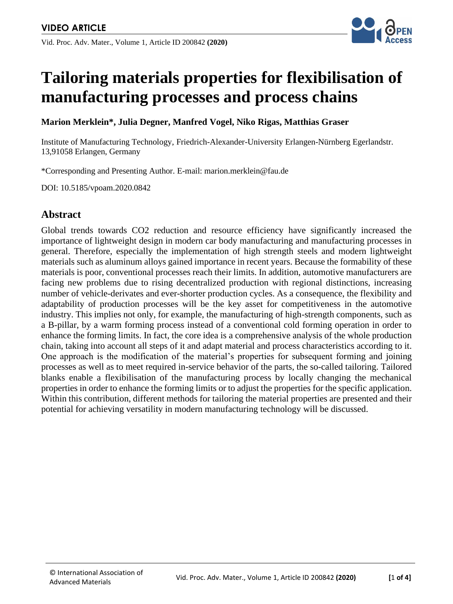

# **Tailoring materials properties for flexibilisation of manufacturing processes and process chains**

**Marion Merklein\*, Julia Degner, Manfred Vogel, Niko Rigas, Matthias Graser**

Institute of Manufacturing Technology, Friedrich-Alexander-University Erlangen-Nürnberg Egerlandstr. 13,91058 Erlangen, Germany

\*Corresponding and Presenting Author. E-mail: marion.merklein@fau.de

DOI: 10.5185/vpoam.2020.0842

# **Abstract**

Global trends towards CO2 reduction and resource efficiency have significantly increased the importance of lightweight design in modern car body manufacturing and manufacturing processes in general. Therefore, especially the implementation of high strength steels and modern lightweight materials such as aluminum alloys gained importance in recent years. Because the formability of these materials is poor, conventional processes reach their limits. In addition, automotive manufacturers are facing new problems due to rising decentralized production with regional distinctions, increasing number of vehicle-derivates and ever-shorter production cycles. As a consequence, the flexibility and adaptability of production processes will be the key asset for competitiveness in the automotive industry. This implies not only, for example, the manufacturing of high-strength components, such as a B-pillar, by a warm forming process instead of a conventional cold forming operation in order to enhance the forming limits. In fact, the core idea is a comprehensive analysis of the whole production chain, taking into account all steps of it and adapt material and process characteristics according to it. One approach is the modification of the material's properties for subsequent forming and joining processes as well as to meet required in-service behavior of the parts, the so-called tailoring. Tailored blanks enable a flexibilisation of the manufacturing process by locally changing the mechanical properties in order to enhance the forming limits or to adjust the properties for the specific application. Within this contribution, different methods for tailoring the material properties are presented and their potential for achieving versatility in modern manufacturing technology will be discussed.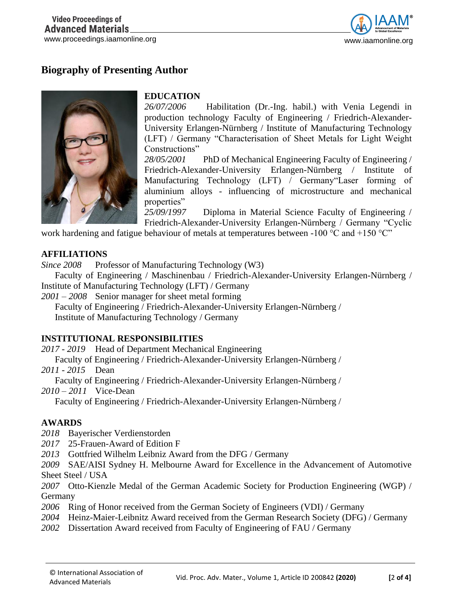

# **Biography of Presenting Author**



## **EDUCATION**

*26/07/2006* Habilitation (Dr.-Ing. habil.) with Venia Legendi in production technology Faculty of Engineering / Friedrich-Alexander-University Erlangen-Nürnberg / Institute of Manufacturing Technology (LFT) / Germany "Characterisation of Sheet Metals for Light Weight Constructions"

*28/05/2001* PhD of Mechanical Engineering Faculty of Engineering / Friedrich-Alexander-University Erlangen-Nürnberg / Institute of Manufacturing Technology (LFT) / Germany"Laser forming of aluminium alloys - influencing of microstructure and mechanical properties"

*25/09/1997* Diploma in Material Science Faculty of Engineering / Friedrich-Alexander-University Erlangen-Nürnberg / Germany "Cyclic

work hardening and fatigue behaviour of metals at temperatures between -100  $^{\circ}$ C and +150  $^{\circ}$ C"

#### **AFFILIATIONS**

*Since 2008* Professor of Manufacturing Technology (W3)

Faculty of Engineering / Maschinenbau / Friedrich-Alexander-University Erlangen-Nürnberg / Institute of Manufacturing Technology (LFT) / Germany

*2001 – 2008* Senior manager for sheet metal forming

Faculty of Engineering / Friedrich-Alexander-University Erlangen-Nürnberg / Institute of Manufacturing Technology / Germany

#### **INSTITUTIONAL RESPONSIBILITIES**

*2017 - 2019* Head of Department Mechanical Engineering

Faculty of Engineering / Friedrich-Alexander-University Erlangen-Nürnberg /

*2011 - 2015* Dean

Faculty of Engineering / Friedrich-Alexander-University Erlangen-Nürnberg /

*2010 – 2011* Vice-Dean

Faculty of Engineering / Friedrich-Alexander-University Erlangen-Nürnberg /

## **AWARDS**

- *2018* Bayerischer Verdienstorden
- *2017* 25-Frauen-Award of Edition F
- *2013* Gottfried Wilhelm Leibniz Award from the DFG / Germany

*2009* SAE/AISI Sydney H. Melbourne Award for Excellence in the Advancement of Automotive Sheet Steel / USA

*2007* Otto-Kienzle Medal of the German Academic Society for Production Engineering (WGP) / Germany

*2006* Ring of Honor received from the German Society of Engineers (VDI) / Germany

- *2004* Heinz-Maier-Leibnitz Award received from the German Research Society (DFG) / Germany
- *2002* Dissertation Award received from Faculty of Engineering of FAU / Germany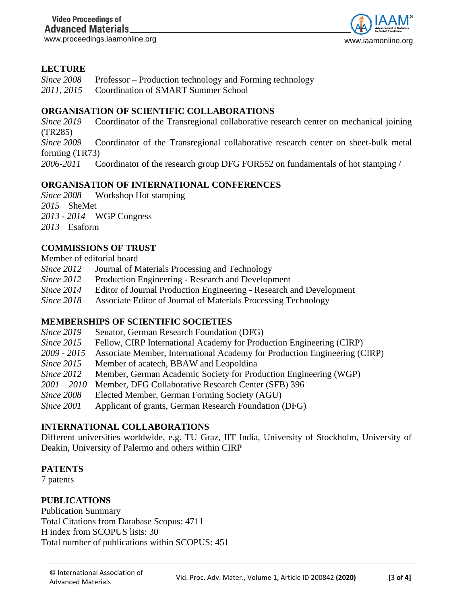www.proceedings.iaamonline.org www.iaamonline.org www.iaamonline.org



## **LECTURE**

| <i>Since 2008</i> | Professor – Production technology and Forming technology |  |
|-------------------|----------------------------------------------------------|--|
|-------------------|----------------------------------------------------------|--|

*2011, 2015* Coordination of SMART Summer School

## **ORGANISATION OF SCIENTIFIC COLLABORATIONS**

*Since 2019* Coordinator of the Transregional collaborative research center on mechanical joining (TR285)

*Since 2009* Coordinator of the Transregional collaborative research center on sheet-bulk metal forming (TR73)

*2006-2011* Coordinator of the research group DFG FOR552 on fundamentals of hot stamping /

## **ORGANISATION OF INTERNATIONAL CONFERENCES**

*Since 2008* Workshop Hot stamping *2015* SheMet

*2013 - 2014* WGP Congress

*2013* Esaform

## **COMMISSIONS OF TRUST**

#### Member of editorial board

*Since 2012* Journal of Materials Processing and Technology

*Since 2012* Production Engineering - Research and Development

*Since 2014* Editor of Journal Production Engineering - Research and Development

*Since 2018* Associate Editor of Journal of Materials Processing Technology

## **MEMBERSHIPS OF SCIENTIFIC SOCIETIES**

| Since 2019        | Senator, German Research Foundation (DFG)                                 |
|-------------------|---------------------------------------------------------------------------|
| <i>Since 2015</i> | Fellow, CIRP International Academy for Production Engineering (CIRP)      |
| 2009 - 2015       | Associate Member, International Academy for Production Engineering (CIRP) |
| <i>Since 2015</i> | Member of acatech, BBAW and Leopoldina                                    |
| <i>Since 2012</i> | Member, German Academic Society for Production Engineering (WGP)          |
| 2001 – 2010       | Member, DFG Collaborative Research Center (SFB) 396                       |
| Since 2008        | Elected Member, German Forming Society (AGU)                              |
| <i>Since 2001</i> | Applicant of grants, German Research Foundation (DFG)                     |

## **INTERNATIONAL COLLABORATIONS**

Different universities worldwide, e.g. TU Graz, IIT India, University of Stockholm, University of Deakin, University of Palermo and others within CIRP

#### **PATENTS**

7 patents

## **PUBLICATIONS**

Publication Summary Total Citations from Database Scopus: 4711 H index from SCOPUS lists: 30 Total number of publications within SCOPUS: 451